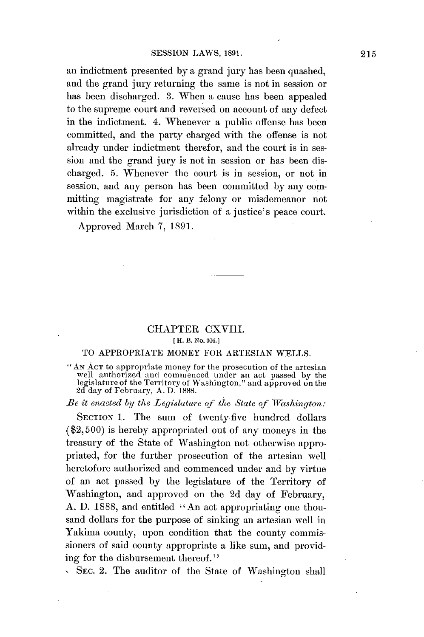an indictment presented **by** a grand jury has been quashed, and the grand jury returning the same is not in session or has been discharged. **3.** When a cause has been appealed to the supreme court and reversed on account of any defect in the indictment. 4. Whenever a public offense has been committed, and the party charged with the offense is not already under indictment therefor, and the court is in session and the grand jury is not in session or has been discharged. **5.** Whenever the court is in session, or not in session, and any person has been committed **by** any committing magistrate for any felony or misdemeanor not within the exclusive jurisdiction of a justice's peace court.

Approved March **7, 1891.**

## CHAPTER CXVIII. **[ H. B. No. 306.]**

## TO APPROPRIATE MONEY FOR ARTESIAN WELLS.

**"AN ACT** to appropriate money for the prosecution of the artesian well authorized and commenced under an act passed **by** the legislature of the Territory of Washington," and approved on the **2d** day of February, **A. D. 1888.**

## *Be it enacted by the Legislature of the State of Washington:*

**SECTION 1.** The sum of twenty-five hundred dollars  $(2,500)$  is hereby appropriated out of any moneys in the treasury of the State of Washington not otherwise appropriated, for the further prosecution of the artesian well heretofore authorized and commenced under and **by** virtue of an act passed **by** the legislature of the Territory of Washington, and approved on the **2d** day of February, **A. D. 1888,** and entitled "An act appropriating one thousand dollars for the purpose of sinking an artesian well in Yakima county, upon condition that the county commissioners of said county appropriate a like sum, and providing for the disbursement thereof."

SEC. 2. The auditor of the State of Washington shall